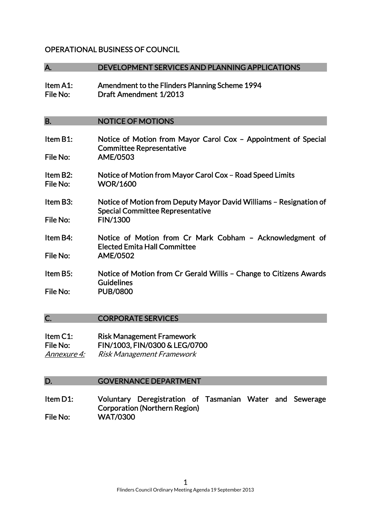## OPERATIONAL BUSINESS OF COUNCIL

#### A. DEVELOPMENT SERVICES AND PLANNING APPLICATIONS

Item A1: Amendment to the Flinders Planning Scheme 1994 File No: Draft Amendment 1/2013

### B. NOTICE OF MOTIONS

- Item B1: Notice of Motion from Mayor Carol Cox Appointment of Special Committee Representative File No: AME/0503 Item B2: Notice of Motion from Mayor Carol Cox – Road Speed Limits File No: WOR/1600 Item B3: Notice of Motion from Deputy Mayor David Williams – Resignation of Special Committee Representative File No: FIN/1300 Item B4: Notice of Motion from Cr Mark Cobham – Acknowledgment of Elected Emita Hall Committee File No: AME/0502 Item B5: Notice of Motion from Cr Gerald Willis – Change to Citizens Awards **Guidelines**
- File No: PUB/0800

### C. CORPORATE SERVICES

| Item $C1$ : | <b>Risk Management Framework</b> |
|-------------|----------------------------------|
| File No:    | FIN/1003, FIN/0300 & LEG/0700    |
| Annexure 4: | <b>Risk Management Framework</b> |

### D. GOVERNANCE DEPARTMENT

Item D1: Voluntary Deregistration of Tasmanian Water and Sewerage Corporation (Northern Region) File No: WAT/0300